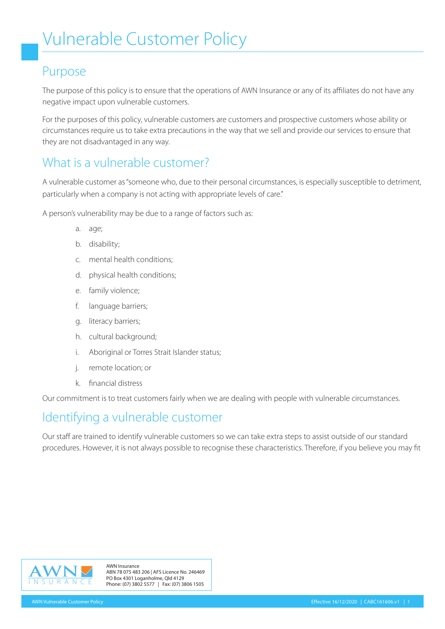#### Purpose

The purpose of this policy is to ensure that the operations of AWN Insurance or any of its affiliates do not have any negative impact upon vulnerable customers.

For the purposes of this policy, vulnerable customers are customers and prospective customers whose ability or circumstances require us to take extra precautions in the way that we sell and provide our services to ensure that they are not disadvantaged in any way.

## What is a vulnerable customer?

A vulnerable customer as "someone who, due to their personal circumstances, is especially susceptible to detriment, particularly when a company is not acting with appropriate levels of care."

A person's vulnerability may be due to a range of factors such as:

- a. age;
- b. disability;
- c. mental health conditions;
- d. physical health conditions;
- e. family violence;
- f. language barriers;
- g. literacy barriers;
- h. cultural background;
- i. Aboriginal or Torres Strait Islander status;
- j. remote location; or
- k. financial distress

Our commitment is to treat customers fairly when we are dealing with people with vulnerable circumstances.

## Identifying a vulnerable customer

Our staff are trained to identify vulnerable customers so we can take extra steps to assist outside of our standard procedures. However, it is not always possible to recognise these characteristics. Therefore, if you believe you may fit



AWN Insurance ABN 78 075 483 206 | AFS Licence No. 246469 PO Box 4301 Loganholme, Qld 4129 U R A N C E Phone: (07) 3802 5577 | Fax: (07) 3806 1505